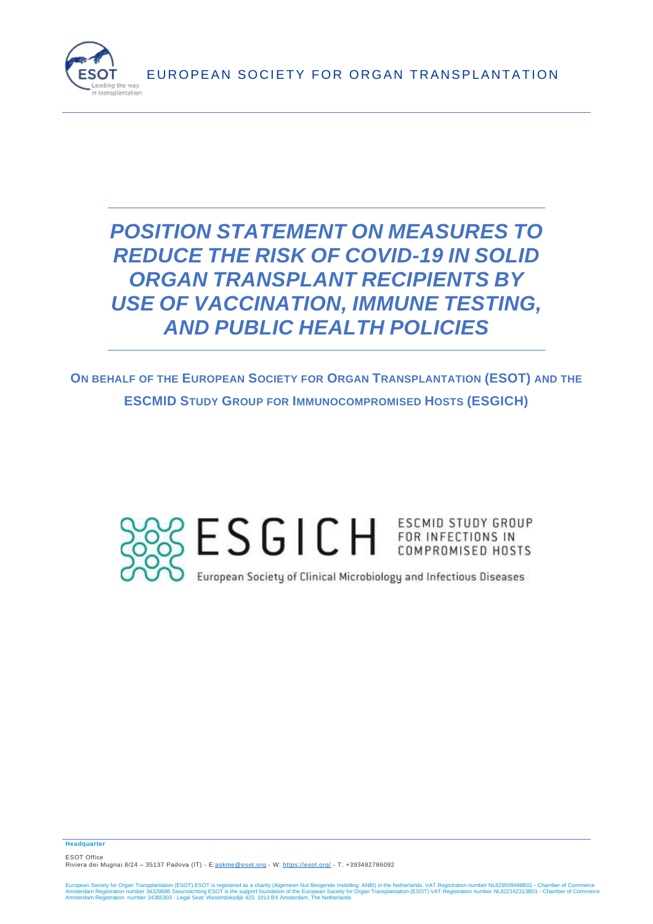

# *POSITION STATEMENT ON MEASURES TO REDUCE THE RISK OF COVID-19 IN SOLID ORGAN TRANSPLANT RECIPIENTS BY USE OF VACCINATION, IMMUNE TESTING, AND PUBLIC HEALTH POLICIES*

**ON BEHALF OF THE EUROPEAN SOCIETY FOR ORGAN TRANSPLANTATION (ESOT) AND THE ESCMID STUDY GROUP FOR IMMUNOCOMPROMISED HOSTS (ESGICH)**



**Headquarter**

ESOT Office Riviera dei Mugnai 8/24 – 35137 Padova (IT) - E[:askme@esot.org](mailto:askme@esot.org) - W:<https://esot.org/> - T: +3934[82786092](tel:+39%20348%202786092)

European Society for Organ Transplantation (ESOT) ESOT is registered as a charity (Algemeen Nut Beogende Instelling: ANBI) in the Netherlands. VAT Registration number NL829509498B01 - Chamber of Commerce<br>Amsterdam Registra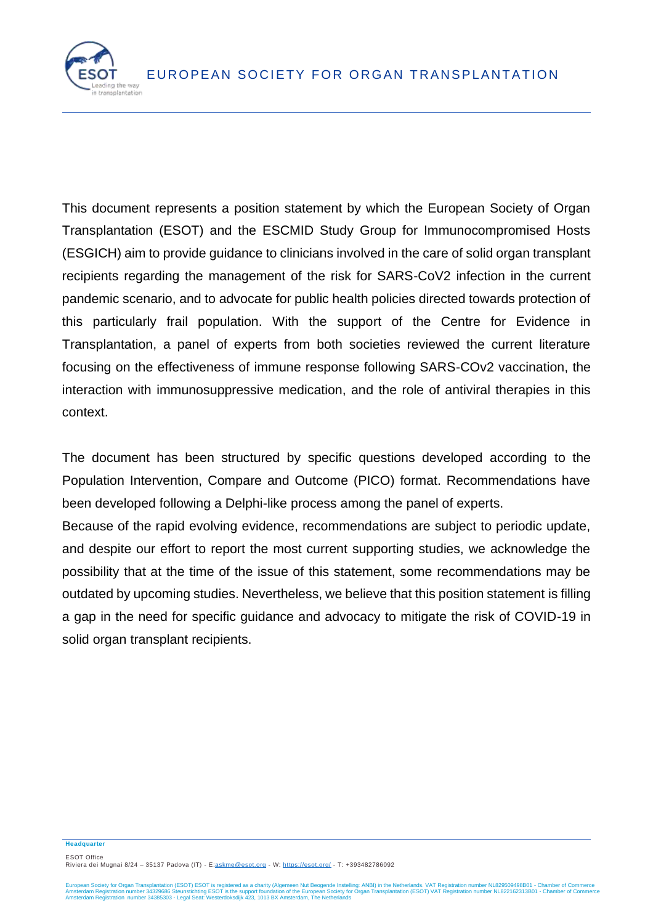

This document represents a position statement by which the European Society of Organ Transplantation (ESOT) and the ESCMID Study Group for Immunocompromised Hosts (ESGICH) aim to provide guidance to clinicians involved in the care of solid organ transplant recipients regarding the management of the risk for SARS-CoV2 infection in the current pandemic scenario, and to advocate for public health policies directed towards protection of this particularly frail population. With the support of the Centre for Evidence in Transplantation, a panel of experts from both societies reviewed the current literature focusing on the effectiveness of immune response following SARS-COv2 vaccination, the interaction with immunosuppressive medication, and the role of antiviral therapies in this context.

The document has been structured by specific questions developed according to the Population Intervention, Compare and Outcome (PICO) format. Recommendations have been developed following a Delphi-like process among the panel of experts.

Because of the rapid evolving evidence, recommendations are subject to periodic update, and despite our effort to report the most current supporting studies, we acknowledge the possibility that at the time of the issue of this statement, some recommendations may be outdated by upcoming studies. Nevertheless, we believe that this position statement is filling a gap in the need for specific guidance and advocacy to mitigate the risk of COVID-19 in solid organ transplant recipients.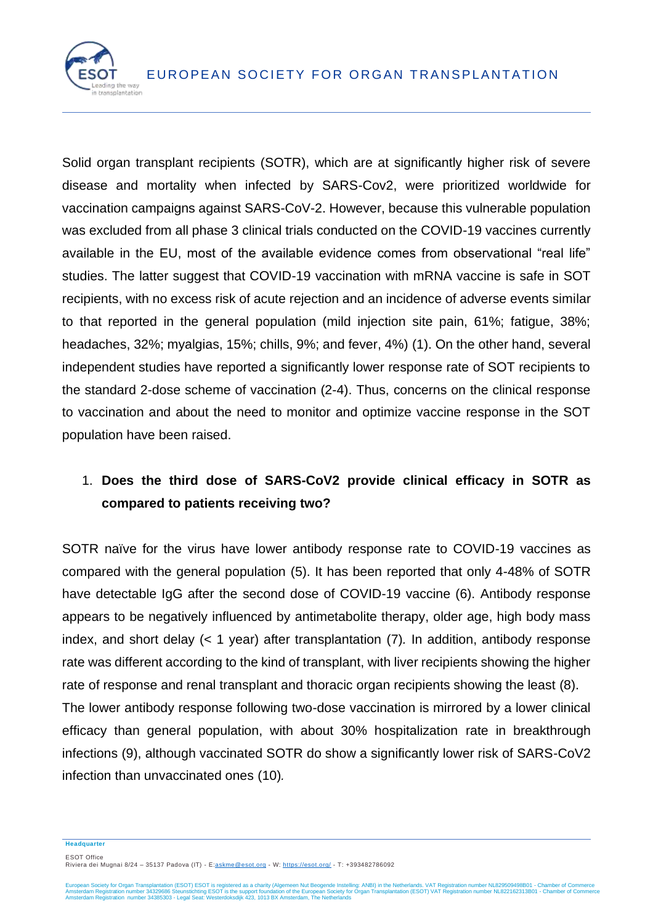

Solid organ transplant recipients (SOTR), which are at significantly higher risk of severe disease and mortality when infected by SARS-Cov2, were prioritized worldwide for vaccination campaigns against SARS-CoV-2. However, because this vulnerable population was excluded from all phase 3 clinical trials conducted on the COVID-19 vaccines currently available in the EU, most of the available evidence comes from observational "real life" studies. The latter suggest that COVID-19 vaccination with mRNA vaccine is safe in SOT recipients, with no excess risk of acute rejection and an incidence of adverse events similar to that reported in the general population (mild injection site pain, 61%; fatigue, 38%; headaches, 32%; myalgias, 15%; chills, 9%; and fever, 4%) (1). On the other hand, several independent studies have reported a significantly lower response rate of SOT recipients to the standard 2-dose scheme of vaccination (2-4). Thus, concerns on the clinical response to vaccination and about the need to monitor and optimize vaccine response in the SOT population have been raised.

#### 1. **Does the third dose of SARS-CoV2 provide clinical efficacy in SOTR as compared to patients receiving two?**

SOTR naïve for the virus have lower antibody response rate to COVID-19 vaccines as compared with the general population (5). It has been reported that only 4-48% of SOTR have detectable IgG after the second dose of COVID-19 vaccine (6). Antibody response appears to be negatively influenced by antimetabolite therapy, older age, high body mass index, and short delay (< 1 year) after transplantation (7)*.* In addition, antibody response rate was different according to the kind of transplant, with liver recipients showing the higher rate of response and renal transplant and thoracic organ recipients showing the least (8).

The lower antibody response following two-dose vaccination is mirrored by a lower clinical efficacy than general population, with about 30% hospitalization rate in breakthrough infections (9), although vaccinated SOTR do show a significantly lower risk of SARS-CoV2 infection than unvaccinated ones (10)*.*

**Headquarter**

ESOT Office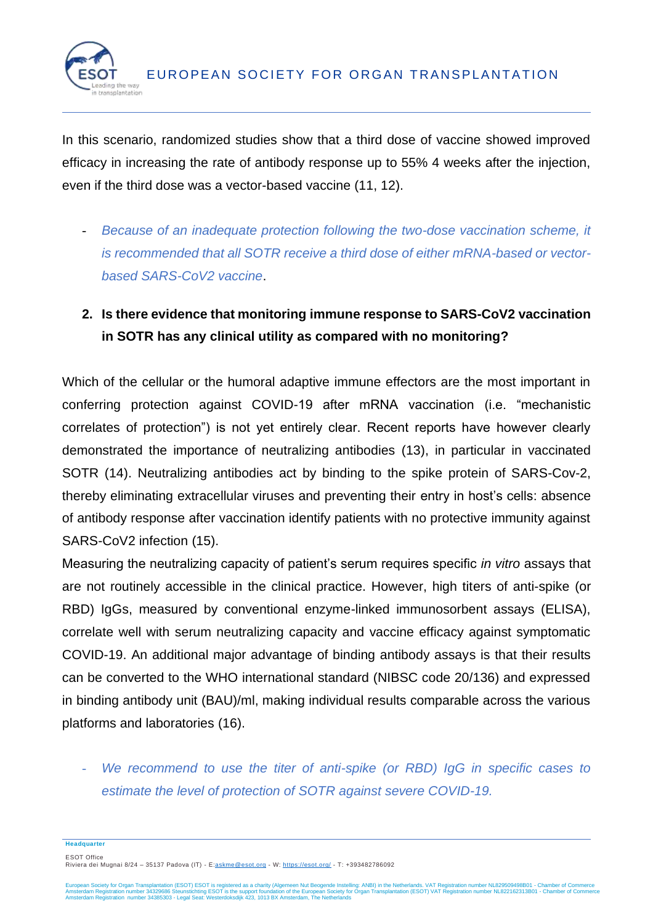

In this scenario, randomized studies show that a third dose of vaccine showed improved efficacy in increasing the rate of antibody response up to 55% 4 weeks after the injection, even if the third dose was a vector-based vaccine (11, 12).

- *Because of an inadequate protection following the two-dose vaccination scheme, it is recommended that all SOTR receive a third dose of either mRNA-based or vectorbased SARS-CoV2 vaccine*.
- **2. Is there evidence that monitoring immune response to SARS-CoV2 vaccination in SOTR has any clinical utility as compared with no monitoring?**

Which of the cellular or the humoral adaptive immune effectors are the most important in conferring protection against COVID-19 after mRNA vaccination (i.e. "mechanistic correlates of protection") is not yet entirely clear. Recent reports have however clearly demonstrated the importance of neutralizing antibodies (13), in particular in vaccinated SOTR (14). Neutralizing antibodies act by binding to the spike protein of SARS-Cov-2, thereby eliminating extracellular viruses and preventing their entry in host's cells: absence of antibody response after vaccination identify patients with no protective immunity against SARS-CoV2 infection (15).

Measuring the neutralizing capacity of patient's serum requires specific *in vitro* assays that are not routinely accessible in the clinical practice. However, high titers of anti-spike (or RBD) IgGs, measured by conventional enzyme-linked immunosorbent assays (ELISA), correlate well with serum neutralizing capacity and vaccine efficacy against symptomatic COVID-19. An additional major advantage of binding antibody assays is that their results can be converted to the WHO international standard (NIBSC code 20/136) and expressed in binding antibody unit (BAU)/ml, making individual results comparable across the various platforms and laboratories (16).

We recommend to use the titer of anti-spike (or RBD) IgG in specific cases to *estimate the level of protection of SOTR against severe COVID-19.*

**Headquarter**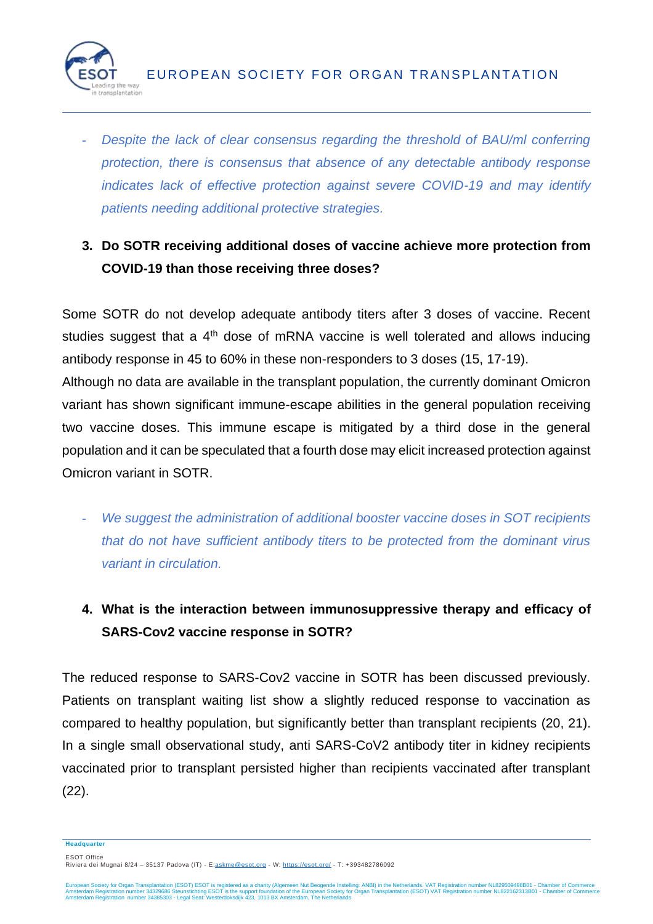

- *Despite the lack of clear consensus regarding the threshold of BAU/ml conferring protection, there is consensus that absence of any detectable antibody response indicates lack of effective protection against severe COVID-19 and may identify patients needing additional protective strategies.* 

## **3. Do SOTR receiving additional doses of vaccine achieve more protection from COVID-19 than those receiving three doses?**

Some SOTR do not develop adequate antibody titers after 3 doses of vaccine. Recent studies suggest that a  $4<sup>th</sup>$  dose of mRNA vaccine is well tolerated and allows inducing antibody response in 45 to 60% in these non-responders to 3 doses (15, 17-19).

Although no data are available in the transplant population, the currently dominant Omicron variant has shown significant immune-escape abilities in the general population receiving two vaccine doses. This immune escape is mitigated by a third dose in the general population and it can be speculated that a fourth dose may elicit increased protection against Omicron variant in SOTR.

- We suggest the administration of additional booster vaccine doses in SOT recipients *that do not have sufficient antibody titers to be protected from the dominant virus variant in circulation.*
- **4. What is the interaction between immunosuppressive therapy and efficacy of SARS-Cov2 vaccine response in SOTR?**

The reduced response to SARS-Cov2 vaccine in SOTR has been discussed previously. Patients on transplant waiting list show a slightly reduced response to vaccination as compared to healthy population, but significantly better than transplant recipients (20, 21). In a single small observational study, anti SARS-CoV2 antibody titer in kidney recipients vaccinated prior to transplant persisted higher than recipients vaccinated after transplant (22).

**Headquarter**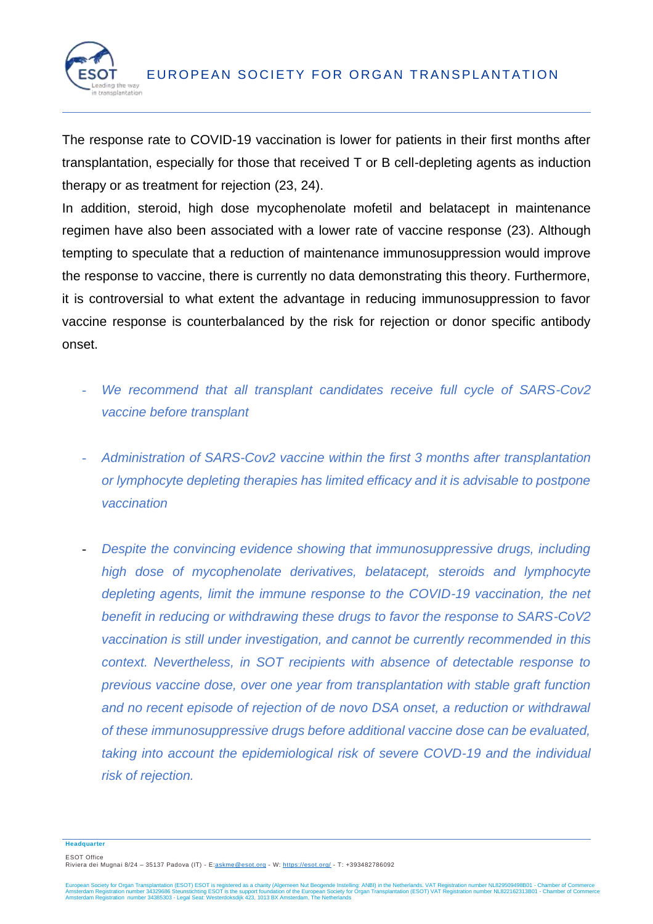

The response rate to COVID-19 vaccination is lower for patients in their first months after transplantation, especially for those that received T or B cell-depleting agents as induction therapy or as treatment for rejection (23, 24).

In addition, steroid, high dose mycophenolate mofetil and belatacept in maintenance regimen have also been associated with a lower rate of vaccine response (23). Although tempting to speculate that a reduction of maintenance immunosuppression would improve the response to vaccine, there is currently no data demonstrating this theory. Furthermore, it is controversial to what extent the advantage in reducing immunosuppression to favor vaccine response is counterbalanced by the risk for rejection or donor specific antibody onset.

- We recommend that all transplant candidates receive full cycle of SARS-Cov2 *vaccine before transplant*
- *Administration of SARS-Cov2 vaccine within the first 3 months after transplantation or lymphocyte depleting therapies has limited efficacy and it is advisable to postpone vaccination*
- *Despite the convincing evidence showing that immunosuppressive drugs, including high dose of mycophenolate derivatives, belatacept, steroids and lymphocyte depleting agents, limit the immune response to the COVID-19 vaccination, the net benefit in reducing or withdrawing these drugs to favor the response to SARS-CoV2 vaccination is still under investigation, and cannot be currently recommended in this context. Nevertheless, in SOT recipients with absence of detectable response to previous vaccine dose, over one year from transplantation with stable graft function and no recent episode of rejection of de novo DSA onset, a reduction or withdrawal of these immunosuppressive drugs before additional vaccine dose can be evaluated, taking into account the epidemiological risk of severe COVD-19 and the individual risk of rejection.*

**Headquarter**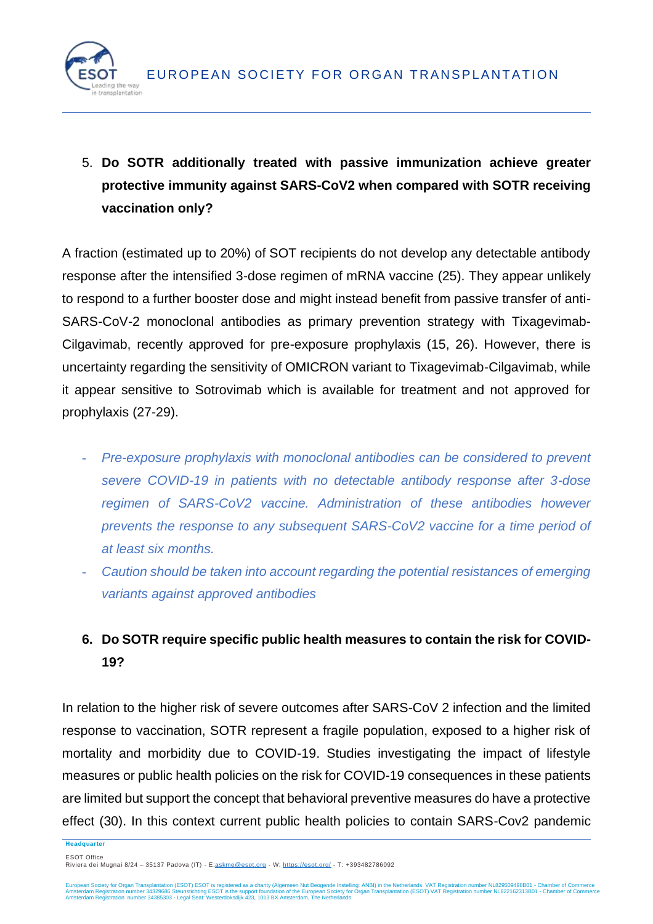

5. **Do SOTR additionally treated with passive immunization achieve greater protective immunity against SARS-CoV2 when compared with SOTR receiving vaccination only?**

A fraction (estimated up to 20%) of SOT recipients do not develop any detectable antibody response after the intensified 3-dose regimen of mRNA vaccine (25). They appear unlikely to respond to a further booster dose and might instead benefit from passive transfer of anti-SARS-CoV-2 monoclonal antibodies as primary prevention strategy with Tixagevimab-Cilgavimab, recently approved for pre-exposure prophylaxis (15, 26). However, there is uncertainty regarding the sensitivity of OMICRON variant to Tixagevimab-Cilgavimab, while it appear sensitive to Sotrovimab which is available for treatment and not approved for prophylaxis (27-29).

- *Pre-exposure prophylaxis with monoclonal antibodies can be considered to prevent severe COVID-19 in patients with no detectable antibody response after 3-dose regimen of SARS-CoV2 vaccine. Administration of these antibodies however prevents the response to any subsequent SARS-CoV2 vaccine for a time period of at least six months.*
- *Caution should be taken into account regarding the potential resistances of emerging variants against approved antibodies*

### **6. Do SOTR require specific public health measures to contain the risk for COVID-19?**

In relation to the higher risk of severe outcomes after SARS-CoV 2 infection and the limited response to vaccination, SOTR represent a fragile population, exposed to a higher risk of mortality and morbidity due to COVID-19. Studies investigating the impact of lifestyle measures or public health policies on the risk for COVID-19 consequences in these patients are limited but support the concept that behavioral preventive measures do have a protective effect (30). In this context current public health policies to contain SARS-Cov2 pandemic

**Headquarter**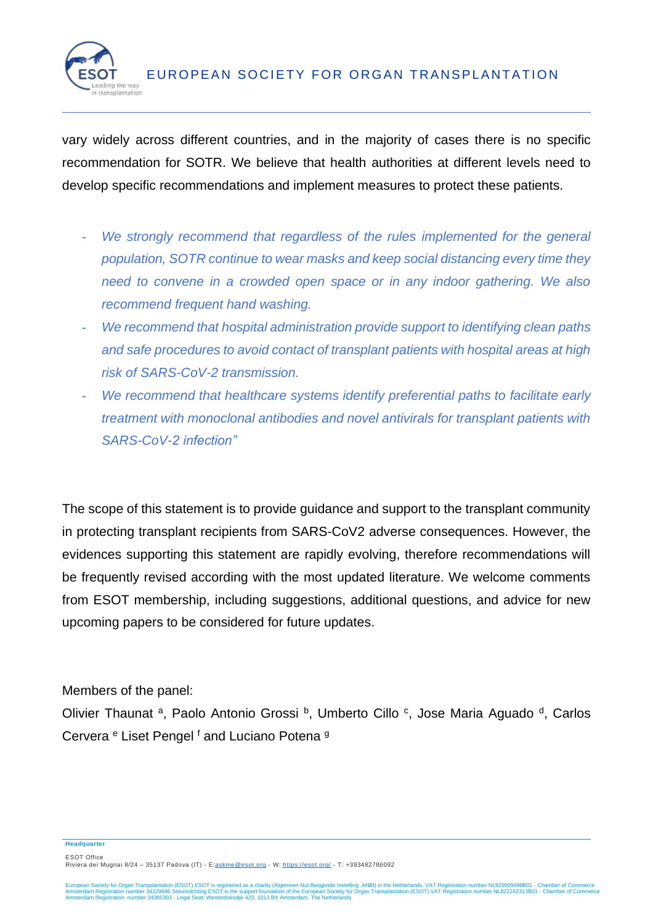

vary widely across different countries, and in the majority of cases there is no specific recommendation for SOTR. We believe that health authorities at different levels need to develop specific recommendations and implement measures to protect these patients.

- *We strongly recommend that regardless of the rules implemented for the general population, SOTR continue to wear masks and keep social distancing every time they need to convene in a crowded open space or in any indoor gathering. We also recommend frequent hand washing.*
- *We recommend that hospital administration provide support to identifying clean paths and safe procedures to avoid contact of transplant patients with hospital areas at high risk of SARS-CoV-2 transmission.*
- *We recommend that healthcare systems identify preferential paths to facilitate early treatment with monoclonal antibodies and novel antivirals for transplant patients with SARS-CoV-2 infection"*

The scope of this statement is to provide guidance and support to the transplant community in protecting transplant recipients from SARS-CoV2 adverse consequences. However, the evidences supporting this statement are rapidly evolving, therefore recommendations will be frequently revised according with the most updated literature. We welcome comments from ESOT membership, including suggestions, additional questions, and advice for new upcoming papers to be considered for future updates.

Members of the panel:

Olivier Thaunat <sup>a</sup>, Paolo Antonio Grossi <sup>b</sup>, Umberto Cillo <sup>c</sup>, Jose Maria Aguado <sup>d</sup>, Carlos Cervera <sup>e</sup> Liset Pengel <sup>f</sup> and Luciano Potena <sup>g</sup>

#### **Headquarter**

ESOT Office

Riviera dei Mugnai 8/24 – 35137 Padova (IT) - E[:askme@esot.org](mailto:askme@esot.org) - W:<https://esot.org/> - T: +3934[82786092](tel:+39%20348%202786092)

European Society for Organ Transplantation (ESOT) ESOT is registered as a charity (Algemeen Nut Beogende Instelling: ANBI) in the Netherlands. VAT Registration number NL829509498B01 - Chamber of Commerce<br>Amsterdam Registra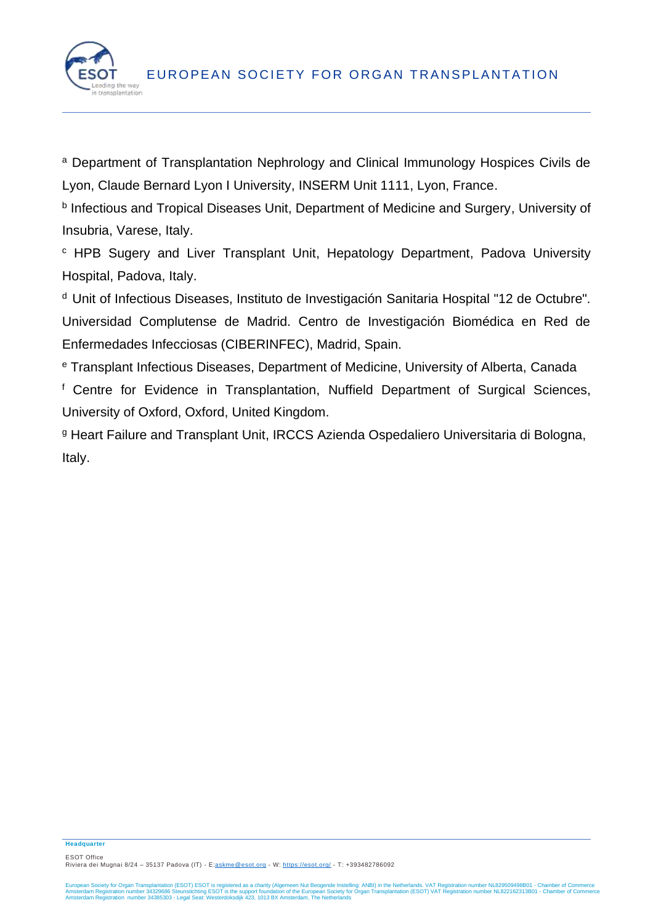

<sup>a</sup> Department of Transplantation Nephrology and Clinical Immunology Hospices Civils de Lyon, Claude Bernard Lyon I University, INSERM Unit 1111, Lyon, France.

b Infectious and Tropical Diseases Unit, Department of Medicine and Surgery, University of Insubria, Varese, Italy.

<sup>c</sup> HPB Sugery and Liver Transplant Unit, Hepatology Department, Padova University Hospital, Padova, Italy.

<sup>d</sup> Unit of Infectious Diseases, Instituto de Investigación Sanitaria Hospital "12 de Octubre". Universidad Complutense de Madrid. Centro de Investigación Biomédica en Red de Enfermedades Infecciosas (CIBERINFEC), Madrid, Spain.

<sup>e</sup> Transplant Infectious Diseases, Department of Medicine, University of Alberta, Canada <sup>f</sup> Centre for Evidence in Transplantation, Nuffield Department of Surgical Sciences, University of Oxford, Oxford, United Kingdom.

<sup>g</sup> Heart Failure and Transplant Unit, IRCCS Azienda Ospedaliero Universitaria di Bologna, Italy.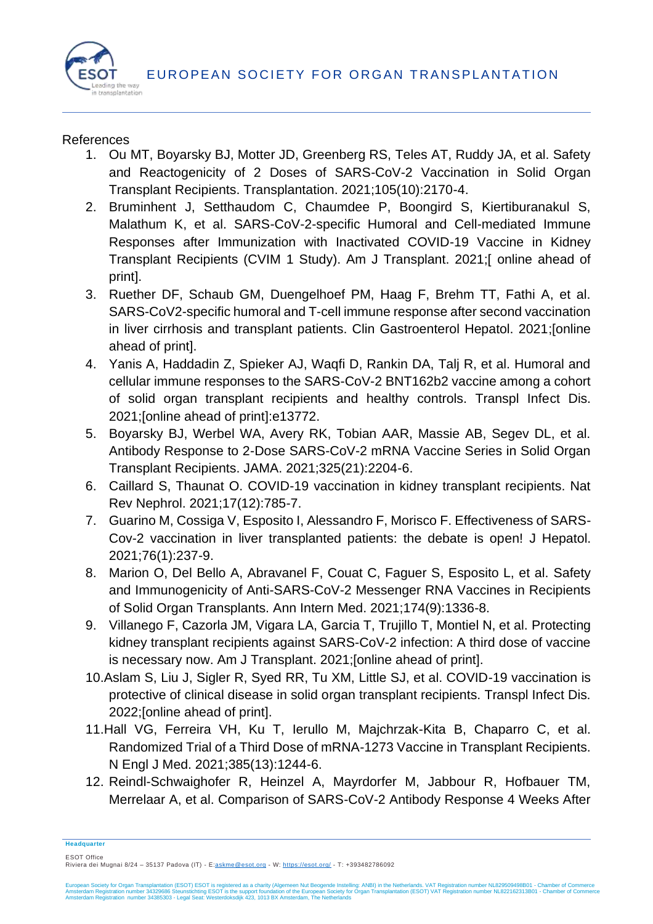

#### **References**

- 1. Ou MT, Boyarsky BJ, Motter JD, Greenberg RS, Teles AT, Ruddy JA, et al. Safety and Reactogenicity of 2 Doses of SARS-CoV-2 Vaccination in Solid Organ Transplant Recipients. Transplantation. 2021;105(10):2170-4.
- 2. Bruminhent J, Setthaudom C, Chaumdee P, Boongird S, Kiertiburanakul S, Malathum K, et al. SARS-CoV-2-specific Humoral and Cell-mediated Immune Responses after Immunization with Inactivated COVID-19 Vaccine in Kidney Transplant Recipients (CVIM 1 Study). Am J Transplant. 2021;[ online ahead of print].
- 3. Ruether DF, Schaub GM, Duengelhoef PM, Haag F, Brehm TT, Fathi A, et al. SARS-CoV2-specific humoral and T-cell immune response after second vaccination in liver cirrhosis and transplant patients. Clin Gastroenterol Hepatol. 2021;[online ahead of print].
- 4. Yanis A, Haddadin Z, Spieker AJ, Waqfi D, Rankin DA, Talj R, et al. Humoral and cellular immune responses to the SARS-CoV-2 BNT162b2 vaccine among a cohort of solid organ transplant recipients and healthy controls. Transpl Infect Dis. 2021;[online ahead of print]:e13772.
- 5. Boyarsky BJ, Werbel WA, Avery RK, Tobian AAR, Massie AB, Segev DL, et al. Antibody Response to 2-Dose SARS-CoV-2 mRNA Vaccine Series in Solid Organ Transplant Recipients. JAMA. 2021;325(21):2204-6.
- 6. Caillard S, Thaunat O. COVID-19 vaccination in kidney transplant recipients. Nat Rev Nephrol. 2021;17(12):785-7.
- 7. Guarino M, Cossiga V, Esposito I, Alessandro F, Morisco F. Effectiveness of SARS-Cov-2 vaccination in liver transplanted patients: the debate is open! J Hepatol. 2021;76(1):237-9.
- 8. Marion O, Del Bello A, Abravanel F, Couat C, Faguer S, Esposito L, et al. Safety and Immunogenicity of Anti-SARS-CoV-2 Messenger RNA Vaccines in Recipients of Solid Organ Transplants. Ann Intern Med. 2021;174(9):1336-8.
- 9. Villanego F, Cazorla JM, Vigara LA, Garcia T, Trujillo T, Montiel N, et al. Protecting kidney transplant recipients against SARS-CoV-2 infection: A third dose of vaccine is necessary now. Am J Transplant. 2021;[online ahead of print].
- 10.Aslam S, Liu J, Sigler R, Syed RR, Tu XM, Little SJ, et al. COVID-19 vaccination is protective of clinical disease in solid organ transplant recipients. Transpl Infect Dis. 2022;[online ahead of print].
- 11.Hall VG, Ferreira VH, Ku T, Ierullo M, Majchrzak-Kita B, Chaparro C, et al. Randomized Trial of a Third Dose of mRNA-1273 Vaccine in Transplant Recipients. N Engl J Med. 2021;385(13):1244-6.
- 12. Reindl-Schwaighofer R, Heinzel A, Mayrdorfer M, Jabbour R, Hofbauer TM, Merrelaar A, et al. Comparison of SARS-CoV-2 Antibody Response 4 Weeks After

**Headquarter**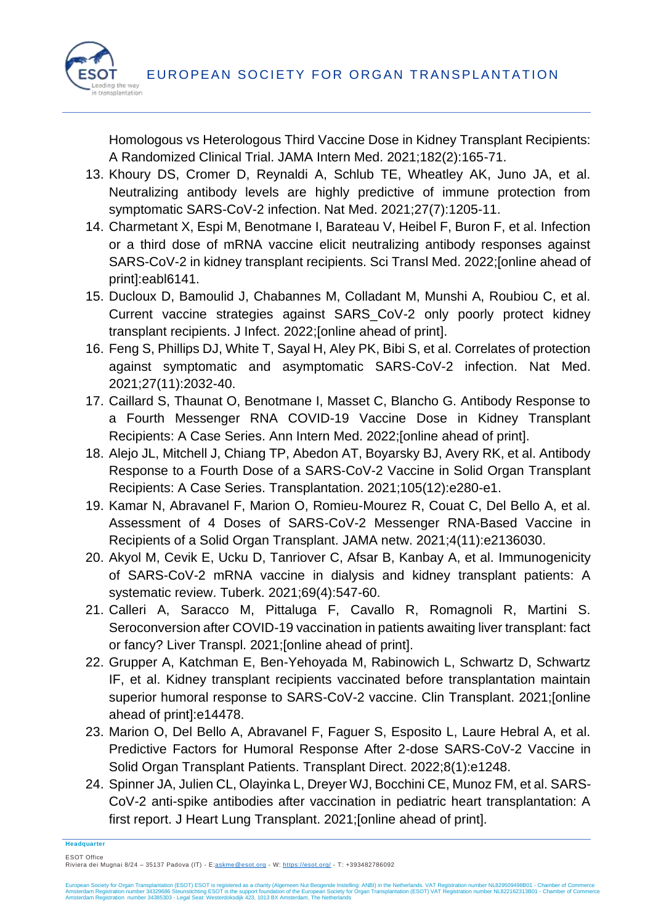

Homologous vs Heterologous Third Vaccine Dose in Kidney Transplant Recipients: A Randomized Clinical Trial. JAMA Intern Med. 2021;182(2):165-71.

- 13. Khoury DS, Cromer D, Reynaldi A, Schlub TE, Wheatley AK, Juno JA, et al. Neutralizing antibody levels are highly predictive of immune protection from symptomatic SARS-CoV-2 infection. Nat Med. 2021;27(7):1205-11.
- 14. Charmetant X, Espi M, Benotmane I, Barateau V, Heibel F, Buron F, et al. Infection or a third dose of mRNA vaccine elicit neutralizing antibody responses against SARS-CoV-2 in kidney transplant recipients. Sci Transl Med. 2022;[online ahead of print]:eabl6141.
- 15. Ducloux D, Bamoulid J, Chabannes M, Colladant M, Munshi A, Roubiou C, et al. Current vaccine strategies against SARS\_CoV-2 only poorly protect kidney transplant recipients. J Infect. 2022;[online ahead of print].
- 16. Feng S, Phillips DJ, White T, Sayal H, Aley PK, Bibi S, et al. Correlates of protection against symptomatic and asymptomatic SARS-CoV-2 infection. Nat Med. 2021;27(11):2032-40.
- 17. Caillard S, Thaunat O, Benotmane I, Masset C, Blancho G. Antibody Response to a Fourth Messenger RNA COVID-19 Vaccine Dose in Kidney Transplant Recipients: A Case Series. Ann Intern Med. 2022;[online ahead of print].
- 18. Alejo JL, Mitchell J, Chiang TP, Abedon AT, Boyarsky BJ, Avery RK, et al. Antibody Response to a Fourth Dose of a SARS-CoV-2 Vaccine in Solid Organ Transplant Recipients: A Case Series. Transplantation. 2021;105(12):e280-e1.
- 19. Kamar N, Abravanel F, Marion O, Romieu-Mourez R, Couat C, Del Bello A, et al. Assessment of 4 Doses of SARS-CoV-2 Messenger RNA-Based Vaccine in Recipients of a Solid Organ Transplant. JAMA netw. 2021;4(11):e2136030.
- 20. Akyol M, Cevik E, Ucku D, Tanriover C, Afsar B, Kanbay A, et al. Immunogenicity of SARS-CoV-2 mRNA vaccine in dialysis and kidney transplant patients: A systematic review. Tuberk. 2021;69(4):547-60.
- 21. Calleri A, Saracco M, Pittaluga F, Cavallo R, Romagnoli R, Martini S. Seroconversion after COVID-19 vaccination in patients awaiting liver transplant: fact or fancy? Liver Transpl. 2021;[online ahead of print].
- 22. Grupper A, Katchman E, Ben-Yehoyada M, Rabinowich L, Schwartz D, Schwartz IF, et al. Kidney transplant recipients vaccinated before transplantation maintain superior humoral response to SARS-CoV-2 vaccine. Clin Transplant. 2021;[online ahead of print]:e14478.
- 23. Marion O, Del Bello A, Abravanel F, Faguer S, Esposito L, Laure Hebral A, et al. Predictive Factors for Humoral Response After 2-dose SARS-CoV-2 Vaccine in Solid Organ Transplant Patients. Transplant Direct. 2022;8(1):e1248.
- 24. Spinner JA, Julien CL, Olayinka L, Dreyer WJ, Bocchini CE, Munoz FM, et al. SARS-CoV-2 anti-spike antibodies after vaccination in pediatric heart transplantation: A first report. J Heart Lung Transplant. 2021;[online ahead of print].

**Headquarter**

ESOT Office Riviera dei Mugnai 8/24 – 35137 Padova (IT) - E[:askme@esot.org](mailto:askme@esot.org) - W:<https://esot.org/> - T: +3934[82786092](tel:+39%20348%202786092)